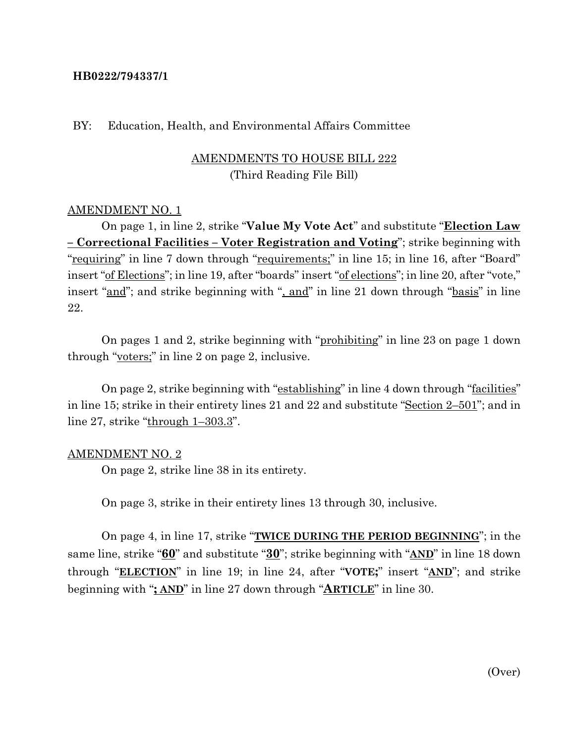## **HB0222/794337/1**

#### BY: Education, Health, and Environmental Affairs Committee

# AMENDMENTS TO HOUSE BILL 222 (Third Reading File Bill)

## AMENDMENT NO. 1

On page 1, in line 2, strike "**Value My Vote Act**" and substitute "**Election Law – Correctional Facilities – Voter Registration and Voting**"; strike beginning with "requiring" in line 7 down through "requirements;" in line 15; in line 16, after "Board" insert "of Elections"; in line 19, after "boards" insert "of elections"; in line 20, after "vote," insert "and"; and strike beginning with ", and" in line 21 down through "basis" in line 22.

On pages 1 and 2, strike beginning with "prohibiting" in line 23 on page 1 down through "voters;" in line 2 on page 2, inclusive.

On page 2, strike beginning with "establishing" in line 4 down through "facilities" in line 15; strike in their entirety lines 21 and 22 and substitute "Section 2–501"; and in line 27, strike " $\frac{\text{through } 1-303.3}{\text{.}}$ ".

#### AMENDMENT NO. 2

On page 2, strike line 38 in its entirety.

On page 3, strike in their entirety lines 13 through 30, inclusive.

On page 4, in line 17, strike "**TWICE DURING THE PERIOD BEGINNING**"; in the same line, strike "**60**" and substitute "**30**"; strike beginning with "**AND**" in line 18 down through "**ELECTION**" in line 19; in line 24, after "**VOTE;**" insert "**AND**"; and strike beginning with "**; AND**" in line 27 down through "**ARTICLE**" in line 30.